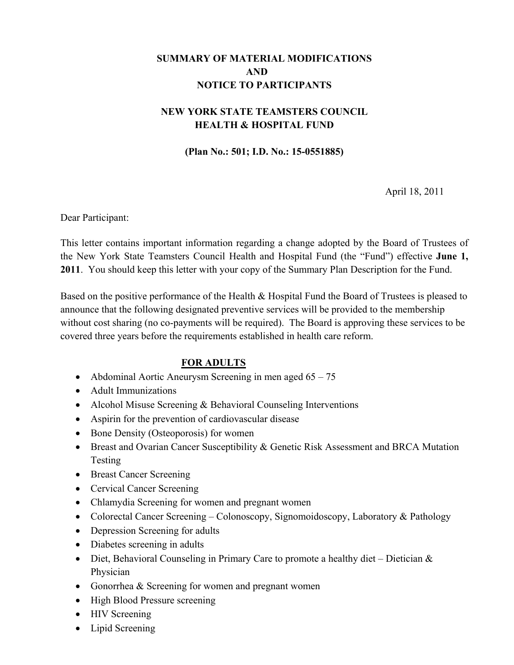# **SUMMARY OF MATERIAL MODIFICATIONS AND NOTICE TO PARTICIPANTS**

# **NEW YORK STATE TEAMSTERS COUNCIL HEALTH & HOSPITAL FUND**

**(Plan No.: 501; I.D. No.: 15-0551885)** 

April 18, 2011

Dear Participant:

This letter contains important information regarding a change adopted by the Board of Trustees of the New York State Teamsters Council Health and Hospital Fund (the "Fund") effective **June 1, 2011**. You should keep this letter with your copy of the Summary Plan Description for the Fund.

Based on the positive performance of the Health & Hospital Fund the Board of Trustees is pleased to announce that the following designated preventive services will be provided to the membership without cost sharing (no co-payments will be required). The Board is approving these services to be covered three years before the requirements established in health care reform.

### **FOR ADULTS**

- Abdominal Aortic Aneurysm Screening in men aged 65 75
- Adult Immunizations
- Alcohol Misuse Screening & Behavioral Counseling Interventions
- Aspirin for the prevention of cardiovascular disease
- Bone Density (Osteoporosis) for women
- Breast and Ovarian Cancer Susceptibility & Genetic Risk Assessment and BRCA Mutation Testing
- Breast Cancer Screening
- Cervical Cancer Screening
- Chlamydia Screening for women and pregnant women
- Colorectal Cancer Screening Colonoscopy, Signomoidoscopy, Laboratory & Pathology
- Depression Screening for adults
- Diabetes screening in adults
- Diet, Behavioral Counseling in Primary Care to promote a healthy diet Dietician  $\&$ Physician
- Gonorrhea & Screening for women and pregnant women
- High Blood Pressure screening
- HIV Screening
- Lipid Screening